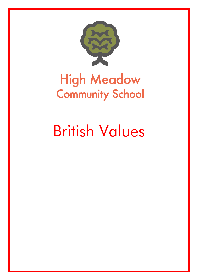

# **High Meadow Community School**

# British Values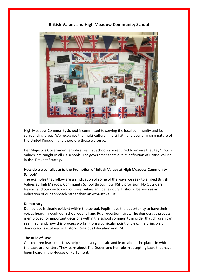

# **British Values and High Meadow Community School**

High Meadow Community School is committed to serving the local community and its surrounding areas. We recognise the multi-cultural, multi-faith and ever changing nature of the United Kingdom and therefore those we serve.

Her Majesty's Government emphasizes that schools are required to ensure that key 'British Values' are taught in all UK schools. The government sets out its definition of British Values in the 'Prevent Strategy'.

## **How do we contribute to the Promotion of British Values at High Meadow Community School?**

The examples that follow are an indication of some of the ways we seek to embed British Values at High Meadow Community School through our PSHE provision, No Outsiders lessons and our day to day routines, values and behaviours. It should be seen as an indication of our approach rather than an exhaustive list:

## **Democracy:**

Democracy is clearly evident within the school. Pupils have the opportunity to have their voices heard through our School Council and Pupil questionnaires. The democratic process is employed for important decisions within the school community in order that children can see, first hand, how this process works. From a curricular point of view, the principle of democracy is explored in History, Religious Education and PSHE.

#### **The Rule of Law:**

Our children learn that Laws help keep everyone safe and learn about the places in which the Laws are written. They learn about The Queen and her role in accepting Laws that have been heard in the Houses of Parliament.

Ī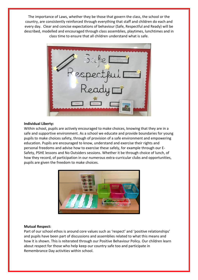The importance of Laws, whether they be those that govern the class, the school or the country, are consistently reinforced through everything that staff and children do each and every day. Clear and concise expectations of behaviour (Safe, Respectful and Ready) will be described, modelled and encouraged through class assemblies, playtimes, lunchtimes and in class time to ensure that all children understand what is safe.



#### **Individual Liberty:**

Within school, pupils are actively encouraged to make choices, knowing that they are in a safe and supportive environment. As a school we educate and provide boundaries for young pupils to make choices safety, through of provision of a safe environment and empowering education. Pupils are encouraged to know, understand and exercise their rights and personal freedoms and advise how to exercise these safely, for example through our E-Safety, PSHE lessons and No Outsiders sessions. Whether it be through choice of lunch, of how they record, of participation in our numerous extra-curricular clubs and opportunities, pupils are given the freedom to make choices.



#### **Mutual Respect:**

Part of our school ethos is around core values such as 'respect' and 'positive relationships' and pupils have been part of discussions and assemblies related to what this means and how it is shown. This is reiterated through our Positive Behaviour Policy. Our children learn about respect for those who help keep our country safe too and participate in Remembrance Day activities within school.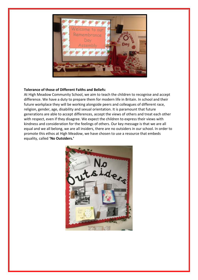

#### **Tolerance of those of Different Faiths and Beliefs:**

At High Meadow Community School, we aim to teach the children to recognise and accept difference. We have a duty to prepare them for modern life in Britain. In school and their future workplace they will be working alongside peers and colleagues of different race, religion, gender, age, disability and sexual orientation. It is paramount that future generations are able to accept differences, accept the views of others and treat each other with respect, even if they disagree. We expect the children to express their views with kindness and consideration for the feelings of others. Our key message is that we are all equal and we all belong, we are all insiders, there are no outsiders in our school. In order to promote this ethos at High Meadow, we have chosen to use a resource that embeds equality, called **'No Outsiders.'**